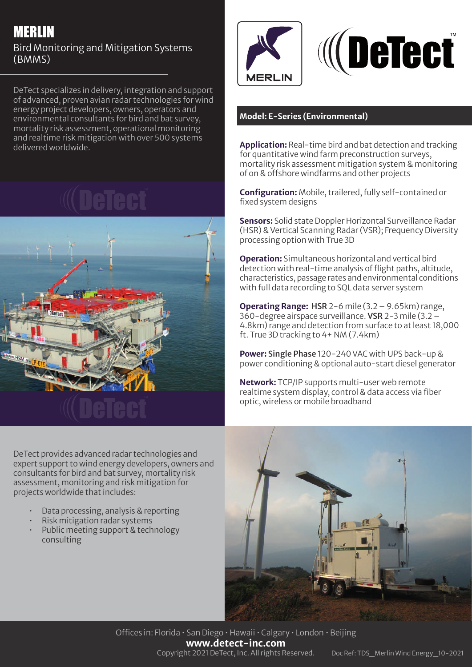# MERLIN

## Bird Monitoring and Mitigation Systems (BMMS)

DeTect specializes in delivery, integration and support of advanced, proven avian radar technologies for wind energy project developers, owners, operators and environmental consultants for bird and bat survey, mortality risk assessment, operational monitoring and realtime risk mitigation with over 500 systems delivered worldwide.





DeTect provides advanced radar technologies and expert support to wind energy developers, owners and consultants for bird and bat survey, mortality risk assessment, monitoring and risk mitigation for projects worldwide that includes:

- Data processing, analysis & reporting
- Risk mitigation radar systems
- Public meeting support & technology consulting





### **Model: E-Series (Environmental)**

**Application:** Real-time bird and bat detection and tracking for quantitative wind farm preconstruction surveys, mortality risk assessment mitigation system & monitoring of on & offshore windfarms and other projects

**Configuration:** Mobile, trailered, fully self-contained or fixed system designs

**Sensors:** Solid state Doppler Horizontal Surveillance Radar (HSR) & Vertical Scanning Radar (VSR); Frequency Diversity processing option with True 3D

**Operation:** Simultaneous horizontal and vertical bird detection with real-time analysis of flight paths, altitude, characteristics, passage rates and environmental conditions with full data recording to SQL data server system

**Operating Range:** HSR 2-6 mile (3.2 – 9.65km) range, 360-degree airspace surveillance. VSR 2-3 mile (3.2 – 4.8km) range and detection from surface to at least 18,000 ft. True 3D tracking to 4+ NM (7.4km)

**Power:** Single Phase 120-240 VAC with UPS back-up & power conditioning & optional auto-start diesel generator

**Network:** TCP/IP supports multi-user web remote realtime system display, control & data access via fiber optic, wireless or mobile broadband



Offices in: Florida • San Diego • Hawaii • Calgary • London • Beijing **www.detect-inc.com** Copyright 2021 DeTect, Inc. All rights Reserved. Doc Ref: TDS\_Merlin Wind Energy\_10-2021